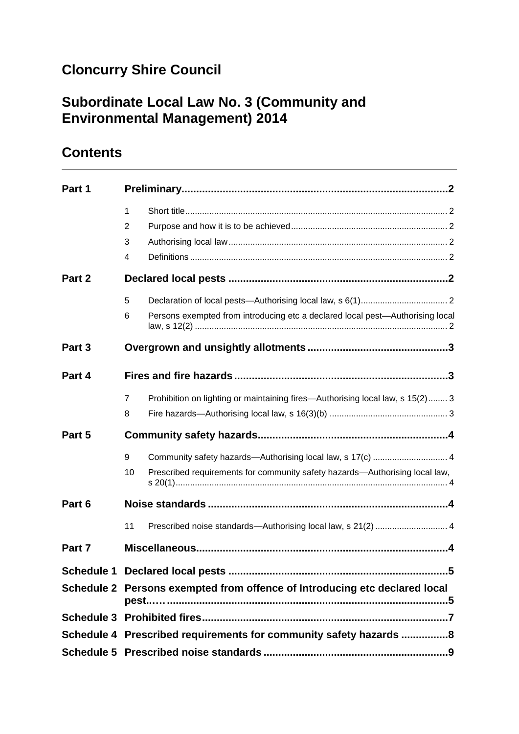## **Cloncurry Shire Council**

## **Subordinate Local Law No. 3 (Community and Environmental Management) 2014**

## **Contents**

| Part 1            |                                                                                                 |  |  |
|-------------------|-------------------------------------------------------------------------------------------------|--|--|
|                   | $\mathbf{1}$                                                                                    |  |  |
|                   | 2                                                                                               |  |  |
|                   | 3                                                                                               |  |  |
|                   | 4                                                                                               |  |  |
| Part 2            |                                                                                                 |  |  |
|                   | 5                                                                                               |  |  |
|                   | Persons exempted from introducing etc a declared local pest-Authorising local<br>6              |  |  |
| Part <sub>3</sub> |                                                                                                 |  |  |
| Part 4            |                                                                                                 |  |  |
|                   | Prohibition on lighting or maintaining fires—Authorising local law, s 15(2) 3<br>$\overline{7}$ |  |  |
|                   | 8                                                                                               |  |  |
| Part 5            |                                                                                                 |  |  |
|                   | Community safety hazards-Authorising local law, s 17(c)  4<br>9                                 |  |  |
|                   | Prescribed requirements for community safety hazards—Authorising local law,<br>10               |  |  |
| Part 6            |                                                                                                 |  |  |
|                   | Prescribed noise standards-Authorising local law, s 21(2)  4<br>11                              |  |  |
| Part 7            |                                                                                                 |  |  |
|                   |                                                                                                 |  |  |
|                   | Schedule 2 Persons exempted from offence of Introducing etc declared local                      |  |  |
|                   |                                                                                                 |  |  |
|                   | Schedule 4 Prescribed requirements for community safety hazards 8                               |  |  |
|                   |                                                                                                 |  |  |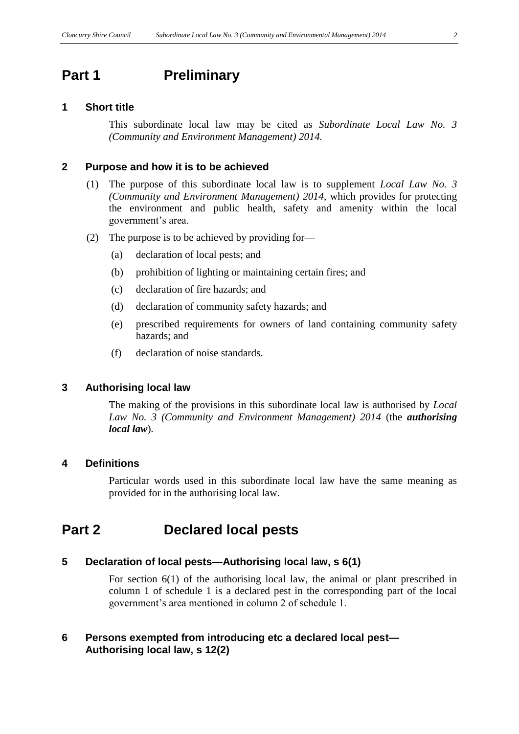### <span id="page-1-0"></span>**Part 1 Preliminary**

#### <span id="page-1-1"></span>**1 Short title**

This subordinate local law may be cited as *Subordinate Local Law No. 3 (Community and Environment Management) 2014.*

#### <span id="page-1-2"></span>**2 Purpose and how it is to be achieved**

- (1) The purpose of this subordinate local law is to supplement *Local Law No. 3 (Community and Environment Management) 2014*, which provides for protecting the environment and public health, safety and amenity within the local government's area.
- (2) The purpose is to be achieved by providing for—
	- (a) declaration of local pests; and
	- (b) prohibition of lighting or maintaining certain fires; and
	- (c) declaration of fire hazards; and
	- (d) declaration of community safety hazards; and
	- (e) prescribed requirements for owners of land containing community safety hazards; and
	- (f) declaration of noise standards.

#### <span id="page-1-3"></span>**3 Authorising local law**

The making of the provisions in this subordinate local law is authorised by *Local Law No. 3 (Community and Environment Management) 2014* (the *authorising local law*)*.*

#### <span id="page-1-4"></span>**4 Definitions**

Particular words used in this subordinate local law have the same meaning as provided for in the authorising local law.

### <span id="page-1-5"></span>**Part 2 Declared local pests**

#### <span id="page-1-6"></span>**5 Declaration of local pests—Authorising local law, s 6(1)**

For section 6(1) of the authorising local law, the animal or plant prescribed in column 1 of schedule 1 is a declared pest in the corresponding part of the local government's area mentioned in column 2 of schedule 1.

#### <span id="page-1-7"></span>**6 Persons exempted from introducing etc a declared local pest— Authorising local law, s 12(2)**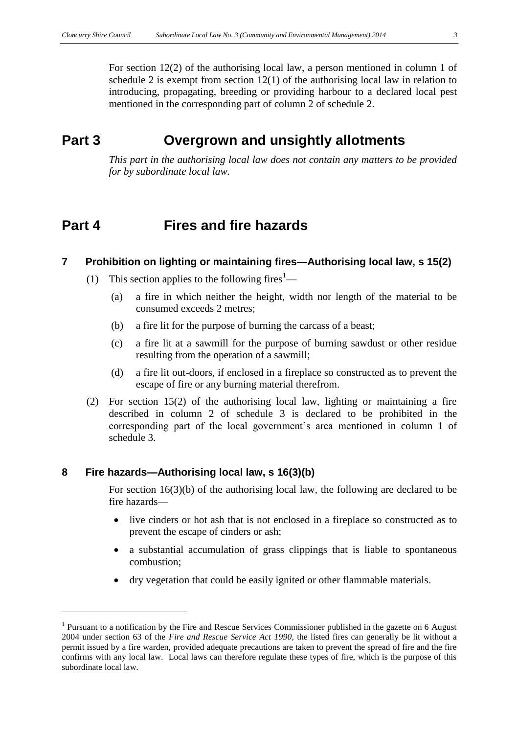For section 12(2) of the authorising local law, a person mentioned in column 1 of schedule 2 is exempt from section 12(1) of the authorising local law in relation to introducing, propagating, breeding or providing harbour to a declared local pest mentioned in the corresponding part of column 2 of schedule 2.

### <span id="page-2-0"></span>**Part 3 Overgrown and unsightly allotments**

*This part in the authorising local law does not contain any matters to be provided for by subordinate local law.*

### <span id="page-2-1"></span>**Part 4 Fires and fire hazards**

#### <span id="page-2-2"></span>**7 Prohibition on lighting or maintaining fires—Authorising local law, s 15(2)**

- (1) This section applies to the following fires<sup>1</sup>—
	- (a) a fire in which neither the height, width nor length of the material to be consumed exceeds 2 metres;
	- (b) a fire lit for the purpose of burning the carcass of a beast;
	- (c) a fire lit at a sawmill for the purpose of burning sawdust or other residue resulting from the operation of a sawmill;
	- (d) a fire lit out-doors, if enclosed in a fireplace so constructed as to prevent the escape of fire or any burning material therefrom.
- (2) For section 15(2) of the authorising local law, lighting or maintaining a fire described in column 2 of schedule 3 is declared to be prohibited in the corresponding part of the local government's area mentioned in column 1 of schedule 3.

#### <span id="page-2-3"></span>**8 Fire hazards—Authorising local law, s 16(3)(b)**

For section 16(3)(b) of the authorising local law, the following are declared to be fire hazards—

- live cinders or hot ash that is not enclosed in a fireplace so constructed as to prevent the escape of cinders or ash;
- a substantial accumulation of grass clippings that is liable to spontaneous combustion;
- dry vegetation that could be easily ignited or other flammable materials.

<sup>&</sup>lt;sup>1</sup> Pursuant to a notification by the Fire and Rescue Services Commissioner published in the gazette on 6 August 2004 under section 63 of the *Fire and Rescue Service Act 1990*, the listed fires can generally be lit without a permit issued by a fire warden, provided adequate precautions are taken to prevent the spread of fire and the fire confirms with any local law. Local laws can therefore regulate these types of fire, which is the purpose of this subordinate local law.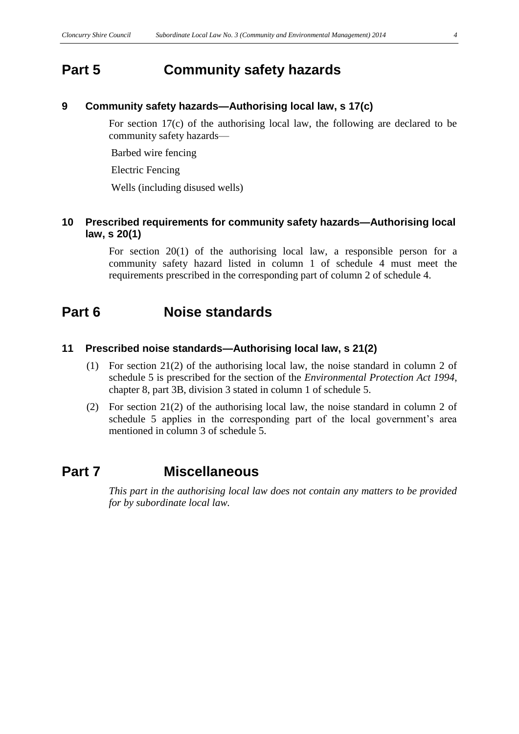### <span id="page-3-0"></span>**Part 5 Community safety hazards**

#### <span id="page-3-1"></span>**9 Community safety hazards—Authorising local law, s 17(c)**

For section 17(c) of the authorising local law, the following are declared to be community safety hazards—

Barbed wire fencing

Electric Fencing

Wells (including disused wells)

#### <span id="page-3-2"></span>**10 Prescribed requirements for community safety hazards—Authorising local law, s 20(1)**

For section 20(1) of the authorising local law, a responsible person for a community safety hazard listed in column 1 of schedule 4 must meet the requirements prescribed in the corresponding part of column 2 of schedule 4.

### <span id="page-3-3"></span>**Part 6 Noise standards**

#### <span id="page-3-4"></span>**11 Prescribed noise standards—Authorising local law, s 21(2)**

- (1) For section 21(2) of the authorising local law, the noise standard in column 2 of schedule 5 is prescribed for the section of the *Environmental Protection Act 1994*, chapter 8, part 3B, division 3 stated in column 1 of schedule 5.
- (2) For section 21(2) of the authorising local law, the noise standard in column 2 of schedule 5 applies in the corresponding part of the local government's area mentioned in column 3 of schedule 5.

### <span id="page-3-5"></span>**Part 7 Miscellaneous**

*This part in the authorising local law does not contain any matters to be provided for by subordinate local law.*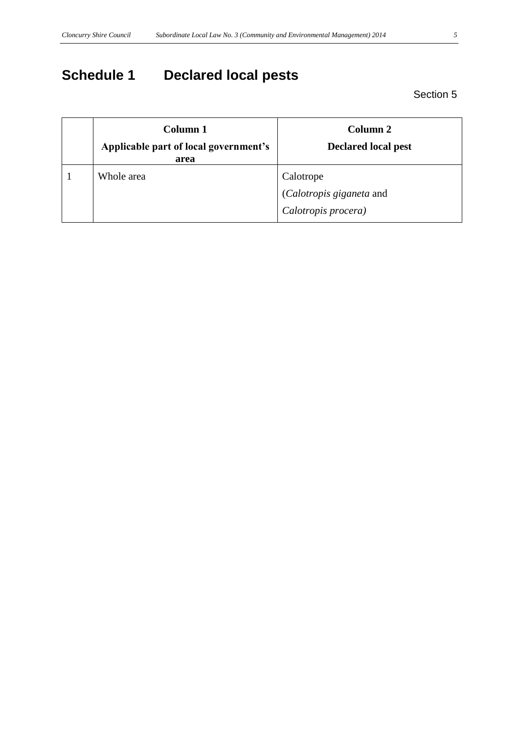# <span id="page-4-0"></span>**Schedule 1 Declared local pests**

Section 5

<span id="page-4-1"></span>

| Column 1<br>Applicable part of local government's<br>area | Column 2<br><b>Declared local pest</b> |
|-----------------------------------------------------------|----------------------------------------|
| Whole area                                                | Calotrope                              |
|                                                           | (Calotropis giganeta and               |
|                                                           | Calotropis procera)                    |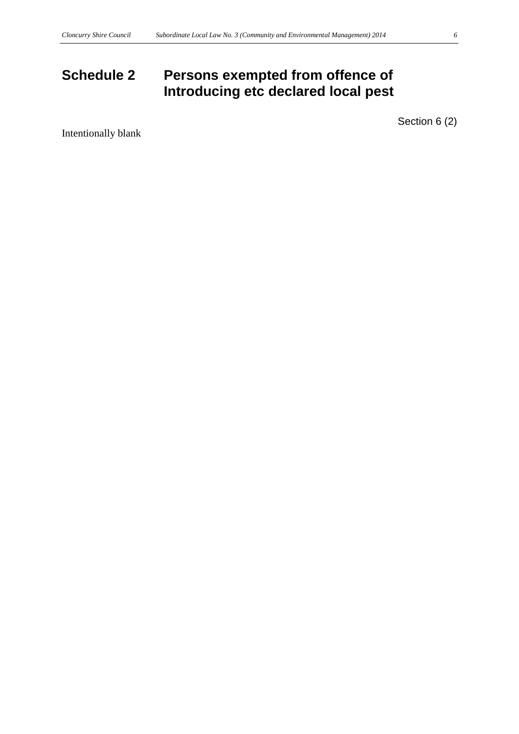## **Schedule 2 Persons exempted from offence of Introducing etc declared local pest**

Section 6 (2)

Intentionally blank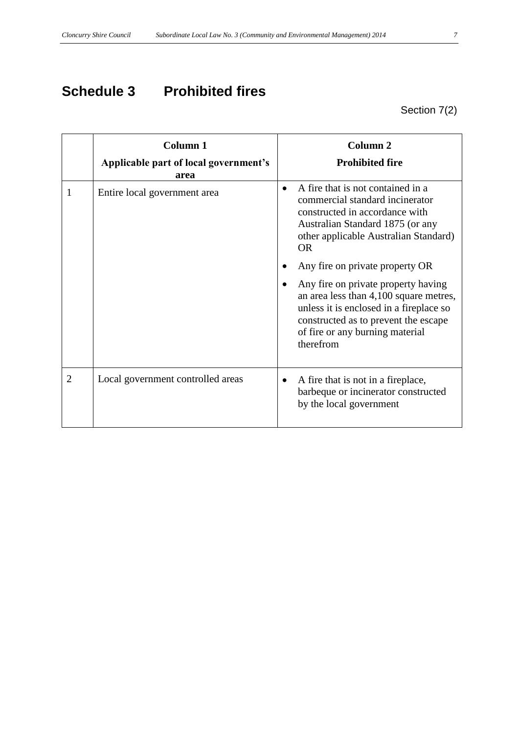## <span id="page-6-0"></span>**Schedule 3 Prohibited fires**

Section 7(2)

|                | Column <sub>1</sub><br>Applicable part of local government's<br>area | Column <sub>2</sub><br><b>Prohibited fire</b>                                                                                                                                                                                                       |
|----------------|----------------------------------------------------------------------|-----------------------------------------------------------------------------------------------------------------------------------------------------------------------------------------------------------------------------------------------------|
| 1              | Entire local government area                                         | A fire that is not contained in a<br>commercial standard incinerator<br>constructed in accordance with<br>Australian Standard 1875 (or any<br>other applicable Australian Standard)<br><b>OR</b>                                                    |
|                |                                                                      | Any fire on private property OR<br>Any fire on private property having<br>an area less than 4,100 square metres,<br>unless it is enclosed in a fireplace so<br>constructed as to prevent the escape<br>of fire or any burning material<br>therefrom |
| $\overline{2}$ | Local government controlled areas                                    | A fire that is not in a fireplace,<br>٠<br>barbeque or incinerator constructed<br>by the local government                                                                                                                                           |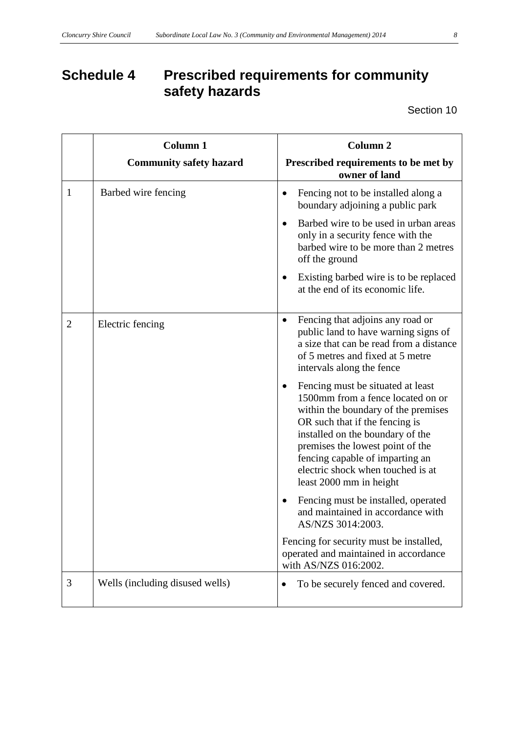## <span id="page-7-0"></span>**Schedule 4 Prescribed requirements for community safety hazards**

Section 10

|                | <b>Column 1</b><br><b>Community safety hazard</b> | <b>Column 2</b><br>Prescribed requirements to be met by                                                                                                                                                                                                                                                                                                                                                                                                                                                                                                                                                                                                                                                                                                    |
|----------------|---------------------------------------------------|------------------------------------------------------------------------------------------------------------------------------------------------------------------------------------------------------------------------------------------------------------------------------------------------------------------------------------------------------------------------------------------------------------------------------------------------------------------------------------------------------------------------------------------------------------------------------------------------------------------------------------------------------------------------------------------------------------------------------------------------------------|
| 1              | Barbed wire fencing                               | owner of land<br>Fencing not to be installed along a<br>$\bullet$<br>boundary adjoining a public park<br>Barbed wire to be used in urban areas<br>$\bullet$<br>only in a security fence with the<br>barbed wire to be more than 2 metres<br>off the ground<br>Existing barbed wire is to be replaced<br>$\bullet$<br>at the end of its economic life.                                                                                                                                                                                                                                                                                                                                                                                                      |
| $\overline{2}$ | Electric fencing                                  | Fencing that adjoins any road or<br>$\bullet$<br>public land to have warning signs of<br>a size that can be read from a distance<br>of 5 metres and fixed at 5 metre<br>intervals along the fence<br>Fencing must be situated at least<br>$\bullet$<br>1500mm from a fence located on or<br>within the boundary of the premises<br>OR such that if the fencing is<br>installed on the boundary of the<br>premises the lowest point of the<br>fencing capable of imparting an<br>electric shock when touched is at<br>least 2000 mm in height<br>Fencing must be installed, operated<br>and maintained in accordance with<br>AS/NZS 3014:2003.<br>Fencing for security must be installed,<br>operated and maintained in accordance<br>with AS/NZS 016:2002. |
| 3              | Wells (including disused wells)                   | To be securely fenced and covered.                                                                                                                                                                                                                                                                                                                                                                                                                                                                                                                                                                                                                                                                                                                         |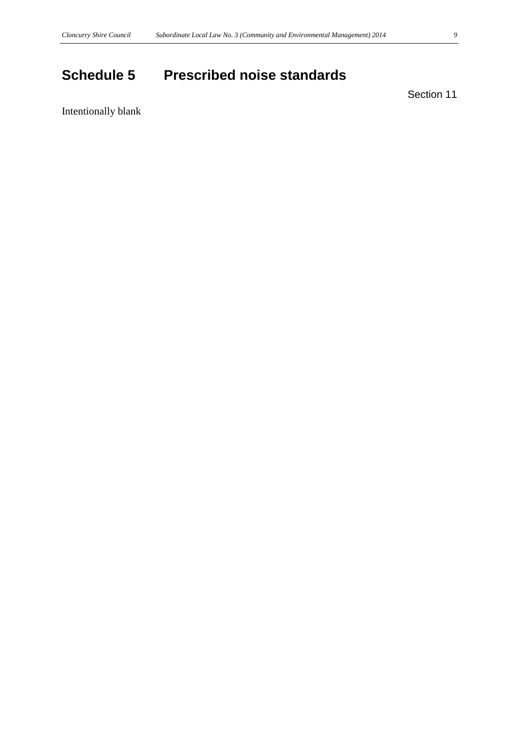## <span id="page-8-0"></span>**Schedule 5 Prescribed noise standards**

Section 11

Intentionally blank